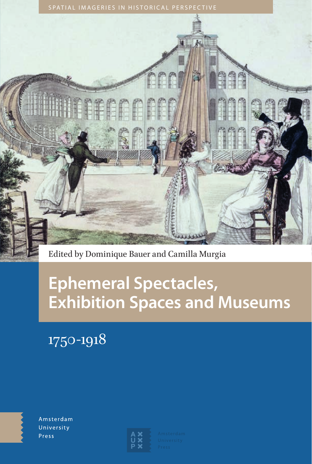

Edited by Dominique Bauer and Camilla Murgia

# **Ephemeral Spectacles, Exhibition Spaces and Museums**

1750-1918



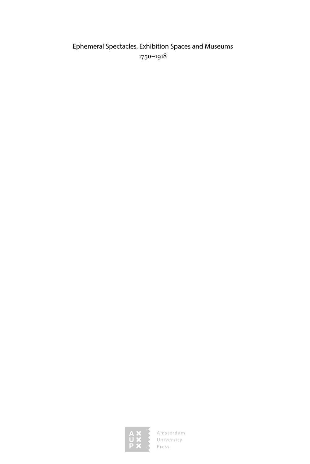### Ephemeral Spectacles, Exhibition Spaces and Museums 1750‒1918

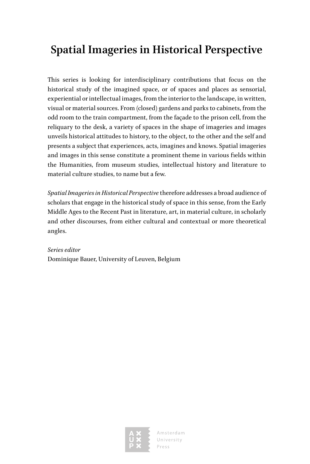## **Spatial Imageries in Historical Perspective**

This series is looking for interdisciplinary contributions that focus on the historical study of the imagined space, or of spaces and places as sensorial, experiential or intellectual images, from the interior to the landscape, in written, visual or material sources. From (closed) gardens and parks to cabinets, from the odd room to the train compartment, from the façade to the prison cell, from the reliquary to the desk, a variety of spaces in the shape of imageries and images unveils historical attitudes to history, to the object, to the other and the self and presents a subject that experiences, acts, imagines and knows. Spatial imageries and images in this sense constitute a prominent theme in various fields within the Humanities, from museum studies, intellectual history and literature to material culture studies, to name but a few.

*Spatial Imageries in Historical Perspective* therefore addresses a broad audience of scholars that engage in the historical study of space in this sense, from the Early Middle Ages to the Recent Past in literature, art, in material culture, in scholarly and other discourses, from either cultural and contextual or more theoretical angles.

*Series editor* Dominique Bauer, University of Leuven, Belgium

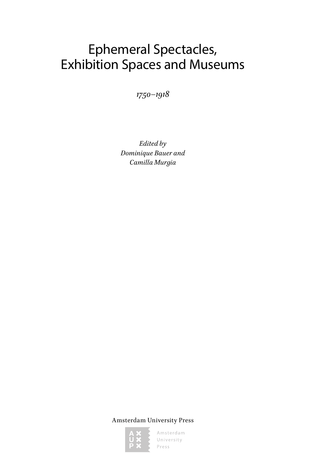# Ephemeral Spectacles, Exhibition Spaces and Museums

*1750‒1918*

*Edited by Dominique Bauer and Camilla Murgia*

Amsterdam University Press

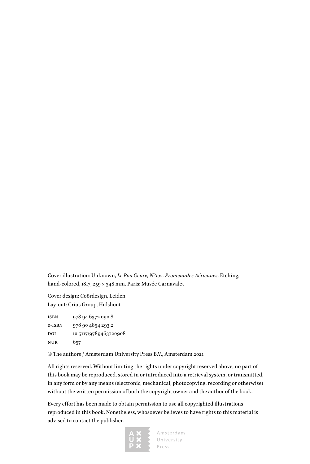Cover illustration: Unknown, *Le Bon Genre, N°102. Promenades Aériennes*. Etching, hand-colored, 1817, 259 × 348 mm. Paris: Musée Carnavalet

Cover design: Coördesign, Leiden Lay-out: Crius Group, Hulshout

isbn 978 94 6372 090 8 e-isbn 978 90 4854 293 2 DOI 10.5117/9789463720908 nur 657

© The authors / Amsterdam University Press B.V., Amsterdam 2021

All rights reserved. Without limiting the rights under copyright reserved above, no part of this book may be reproduced, stored in or introduced into a retrieval system, or transmitted, in any form or by any means (electronic, mechanical, photocopying, recording or otherwise) without the written permission of both the copyright owner and the author of the book.

Every effort has been made to obtain permission to use all copyrighted illustrations reproduced in this book. Nonetheless, whosoever believes to have rights to this material is advised to contact the publisher.

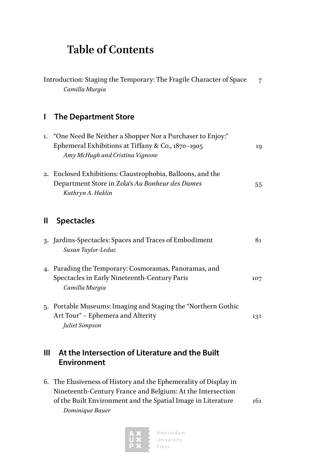### **Table of Contents**

|    | Introduction: Staging the Temporary: The Fragile Character of Space<br>Camilla Murgia                                                             |     |
|----|---------------------------------------------------------------------------------------------------------------------------------------------------|-----|
| L  | <b>The Department Store</b>                                                                                                                       |     |
| 1. | "One Need Be Neither a Shopper Nor a Purchaser to Enjoy:"<br>Ephemeral Exhibitions at Tiffany & Co., 1870-1905<br>Amy McHugh and Cristina Vignone | 19  |
|    | 2. Enclosed Exhibitions: Claustrophobia, Balloons, and the<br>Department Store in Zola's Au Bonheur des Dames<br>Kathryn A. Haklin                | 55  |
| Ш  | <b>Spectacles</b>                                                                                                                                 |     |
|    | 3. Jardins-Spectacles: Spaces and Traces of Embodiment<br>Susan Taylor-Leduc                                                                      | 81  |
|    | 4. Parading the Temporary: Cosmoramas, Panoramas, and<br>Spectacles in Early Nineteenth-Century Paris<br>Camilla Murgia                           | 107 |
|    | 5. Portable Museums: Imaging and Staging the "Northern Gothic<br>Art Tour" - Ephemera and Alterity<br>Juliet Simpson                              | 131 |

### **III At the Intersection of Literature and the Built Environment**

6. The Elusiveness of History and the Ephemerality of Display in Nineteenth-Century France and Belgium: At the Intersection of the Built Environment and the Spatial Image in Literature 161 *Dominique Bauer*

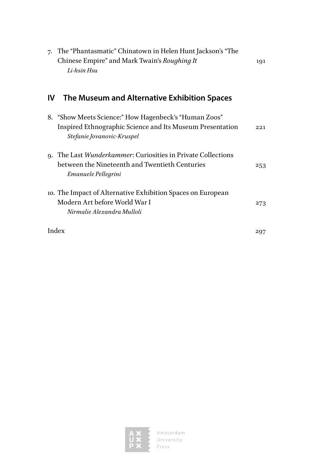| The "Phantasmatic" Chinatown in Helen Hunt Jackson's "The<br>7.<br>Chinese Empire" and Mark Twain's Roughing It<br>Li-hsin Hsu                   | 191 |
|--------------------------------------------------------------------------------------------------------------------------------------------------|-----|
| The Museum and Alternative Exhibition Spaces<br>ΙV                                                                                               |     |
| 8. "Show Meets Science:" How Hagenbeck's "Human Zoos"<br>Inspired Ethnographic Science and Its Museum Presentation<br>Stefanie Jovanovic-Kruspel | 221 |
| 9. The Last <i>Wunderkammer</i> : Curiosities in Private Collections<br>between the Nineteenth and Twentieth Centuries<br>Emanuele Pellegrini    | 253 |
| 10. The Impact of Alternative Exhibition Spaces on European<br>Modern Art before World War I<br>Nirmalie Alexandra Mulloli                       | 273 |
| Index                                                                                                                                            | 297 |

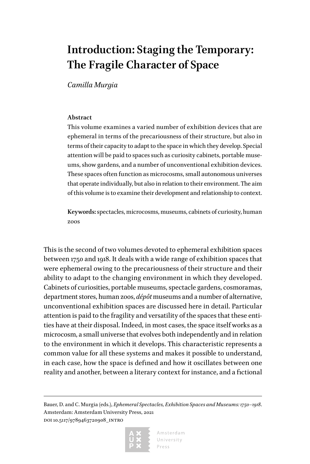# **Introduction: Staging the Temporary: The Fragile Character of Space**

*Camilla Murgia*

#### **Abstract**

This volume examines a varied number of exhibition devices that are ephemeral in terms of the precariousness of their structure, but also in terms of their capacity to adapt to the space in which they develop. Special attention will be paid to spaces such as curiosity cabinets, portable museums, show gardens, and a number of unconventional exhibition devices. These spaces often function as microcosms, small autonomous universes that operate individually, but also in relation to their environment. The aim of this volume is to examine their development and relationship to context.

**Keywords:** spectacles, microcosms, museums, cabinets of curiosity, human zoos

This is the second of two volumes devoted to ephemeral exhibition spaces between 1750 and 1918. It deals with a wide range of exhibition spaces that were ephemeral owing to the precariousness of their structure and their ability to adapt to the changing environment in which they developed. Cabinets of curiosities, portable museums, spectacle gardens, cosmoramas, department stores, human zoos, *dépôt* museums and a number of alternative, unconventional exhibition spaces are discussed here in detail. Particular attention is paid to the fragility and versatility of the spaces that these entities have at their disposal. Indeed, in most cases, the space itself works as a microcosm, a small universe that evolves both independently and in relation to the environment in which it develops. This characteristic represents a common value for all these systems and makes it possible to understand, in each case, how the space is defined and how it oscillates between one reality and another, between a literary context for instance, and a fictional

Bauer, D. and C. Murgia (eds.), *Ephemeral Spectacles, Exhibition Spaces and Museums: 1750*-1918. Amsterdam: Amsterdam University Press, 2021 doi 10.5117/9789463720908\_intro

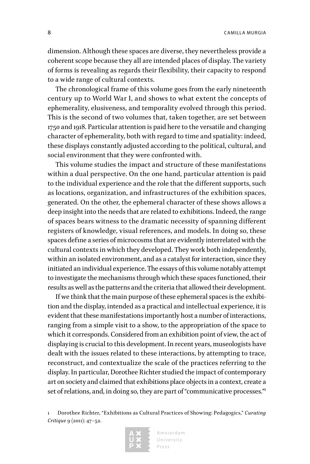8 CAMILLA MURGIA

dimension. Although these spaces are diverse, they nevertheless provide a coherent scope because they all are intended places of display. The variety of forms is revealing as regards their flexibility, their capacity to respond to a wide range of cultural contexts.

The chronological frame of this volume goes from the early nineteenth century up to World War I, and shows to what extent the concepts of ephemerality, elusiveness, and temporality evolved through this period. This is the second of two volumes that, taken together, are set between 1750 and 1918. Particular attention is paid here to the versatile and changing character of ephemerality, both with regard to time and spatiality: indeed, these displays constantly adjusted according to the political, cultural, and social environment that they were confronted with.

This volume studies the impact and structure of these manifestations within a dual perspective. On the one hand, particular attention is paid to the individual experience and the role that the different supports, such as locations, organization, and infrastructures of the exhibition spaces, generated. On the other, the ephemeral character of these shows allows a deep insight into the needs that are related to exhibitions. Indeed, the range of spaces bears witness to the dramatic necessity of spanning different registers of knowledge, visual references, and models. In doing so, these spaces define a series of microcosms that are evidently interrelated with the cultural contexts in which they developed. They work both independently, within an isolated environment, and as a catalyst for interaction, since they initiated an individual experience. The essays of this volume notably attempt to investigate the mechanisms through which these spaces functioned, their results as well as the patterns and the criteria that allowed their development.

If we think that the main purpose of these ephemeral spaces is the exhibition and the display, intended as a practical and intellectual experience, it is evident that these manifestations importantly host a number of interactions, ranging from a simple visit to a show, to the appropriation of the space to which it corresponds. Considered from an exhibition point of view, the act of displaying is crucial to this development. In recent years, museologists have dealt with the issues related to these interactions, by attempting to trace, reconstruct, and contextualize the scale of the practices referring to the display. In particular, Dorothee Richter studied the impact of contemporary art on society and claimed that exhibitions place objects in a context, create a set of relations, and, in doing so, they are part of "communicative processes."1

1 Dorothee Richter, "Exhibitions as Cultural Practices of Showing: Pedagogics," *Curating Critique* 9 (2011): 47–52.

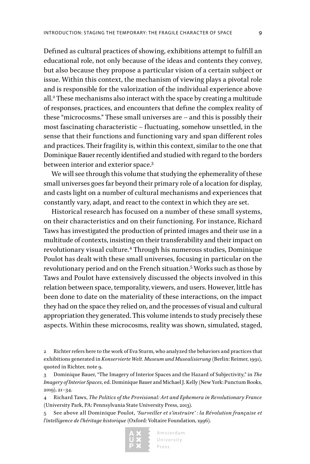Defined as cultural practices of showing, exhibitions attempt to fulfill an educational role, not only because of the ideas and contents they convey, but also because they propose a particular vision of a certain subject or issue. Within this context, the mechanism of viewing plays a pivotal role and is responsible for the valorization of the individual experience above all.<sup>2</sup> These mechanisms also interact with the space by creating a multitude of responses, practices, and encounters that define the complex reality of these "microcosms." These small universes are – and this is possibly their most fascinating characteristic – fluctuating, somehow unsettled, in the sense that their functions and functioning vary and span different roles and practices. Their fragility is, within this context, similar to the one that Dominique Bauer recently identified and studied with regard to the borders between interior and exterior space.3

We will see through this volume that studying the ephemerality of these small universes goes far beyond their primary role of a location for display, and casts light on a number of cultural mechanisms and experiences that constantly vary, adapt, and react to the context in which they are set.

Historical research has focused on a number of these small systems, on their characteristics and on their functioning. For instance, Richard Taws has investigated the production of printed images and their use in a multitude of contexts, insisting on their transferability and their impact on revolutionary visual culture.<sup>4</sup> Through his numerous studies, Dominique Poulot has dealt with these small universes, focusing in particular on the revolutionary period and on the French situation.5 Works such as those by Taws and Poulot have extensively discussed the objects involved in this relation between space, temporality, viewers, and users. However, little has been done to date on the materiality of these interactions, on the impact they had on the space they relied on, and the processes of visual and cultural appropriation they generated. This volume intends to study precisely these aspects. Within these microcosms, reality was shown, simulated, staged,

4 Richard Taws, *The Politics of the Provisional: Art and Ephemera in Revolutionary France* (University Park, PA: Pennsylvania State University Press, 2013).

5 See above all Dominique Poulot, *'Surveiller et s'instruire' : la Révolution française et l'intelligence de l'héritage historique* (Oxford: Voltaire Foundation, 1996).



<sup>2</sup> Richter refers here to the work of Eva Sturm, who analyzed the behaviors and practices that exhibitions generated in *Konservierte Welt. Museum und Musealisierung* (Berlin: Reimer, 1991), quoted in Richter, note 9.

<sup>3</sup> Dominique Bauer, "The Imagery of Interior Spaces and the Hazard of Subjectivity," in *The Imagery of Interior Spaces*, ed. Dominique Bauer and Michael J. Kelly (New York: Punctum Books, 2019), 21–34.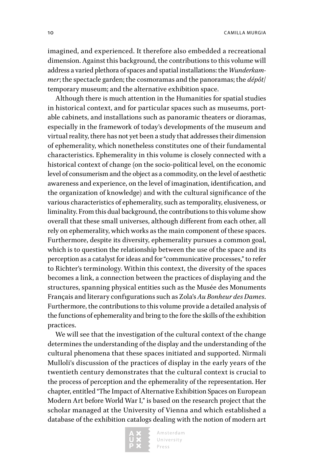imagined, and experienced. It therefore also embedded a recreational dimension. Against this background, the contributions to this volume will address a varied plethora of spaces and spatial installations: the *Wunderkammer*; the spectacle garden; the cosmoramas and the panoramas; the *dépôt*/ temporary museum; and the alternative exhibition space.

Although there is much attention in the Humanities for spatial studies in historical context, and for particular spaces such as museums, portable cabinets, and installations such as panoramic theaters or dioramas, especially in the framework of today's developments of the museum and virtual reality, there has not yet been a study that addresses their dimension of ephemerality, which nonetheless constitutes one of their fundamental characteristics. Ephemerality in this volume is closely connected with a historical context of change (on the socio-political level, on the economic level of consumerism and the object as a commodity, on the level of aesthetic awareness and experience, on the level of imagination, identification, and the organization of knowledge) and with the cultural significance of the various characteristics of ephemerality, such as temporality, elusiveness, or liminality. From this dual background, the contributions to this volume show overall that these small universes, although different from each other, all rely on ephemerality, which works as the main component of these spaces. Furthermore, despite its diversity, ephemerality pursues a common goal, which is to question the relationship between the use of the space and its perception as a catalyst for ideas and for "communicative processes," to refer to Richter's terminology. Within this context, the diversity of the spaces becomes a link, a connection between the practices of displaying and the structures, spanning physical entities such as the Musée des Monuments Français and literary configurations such as Zola's *Au Bonheur des Dames*. Furthermore, the contributions to this volume provide a detailed analysis of the functions of ephemerality and bring to the fore the skills of the exhibition practices.

We will see that the investigation of the cultural context of the change determines the understanding of the display and the understanding of the cultural phenomena that these spaces initiated and supported. Nirmali Mulloli's discussion of the practices of display in the early years of the twentieth century demonstrates that the cultural context is crucial to the process of perception and the ephemerality of the representation. Her chapter, entitled "The Impact of Alternative Exhibition Spaces on European Modern Art before World War I," is based on the research project that the scholar managed at the University of Vienna and which established a database of the exhibition catalogs dealing with the notion of modern art

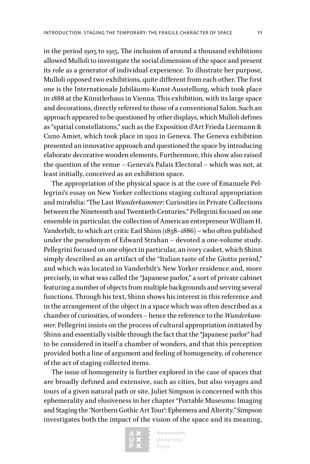in the period 1905 to 1915. The inclusion of around a thousand exhibitions allowed Mulloli to investigate the social dimension of the space and present its role as a generator of individual experience. To illustrate her purpose, Mulloli opposed two exhibitions, quite different from each other. The first one is the Internationale Jubiläums-Kunst-Ausstellung, which took place in 1888 at the Künstlerhaus in Vienna. This exhibition, with its large space and decorations, directly referred to those of a conventional Salon. Such an approach appeared to be questioned by other displays, which Mulloli defines as "spatial constellations," such as the Exposition d'Art Frieda Liermann & Cuno Amiet, which took place in 1902 in Geneva. The Geneva exhibition presented an innovative approach and questioned the space by introducing elaborate decorative wooden elements. Furthermore, this show also raised the question of the venue – Geneva's Palais Electoral – which was not, at least initially, conceived as an exhibition space.

The appropriation of the physical space is at the core of Emanuele Pellegrini's essay on New Yorker collections staging cultural appropriation and mirabilia: "The Last *Wunderkammer*: Curiosities in Private Collections between the Nineteenth and Twentieth Centuries." Pellegrini focused on one ensemble in particular, the collection of American entrepreneur William H. Vanderbilt, to which art critic Earl Shinn (1838–1886) – who often published under the pseudonym of Edward Strahan – devoted a one-volume study. Pellegrini focused on one object in particular, an ivory casket, which Shinn simply described as an artifact of the "Italian taste of the Giotto period," and which was located in Vanderbilt's New Yorker residence and, more precisely, in what was called the "Japanese parlor," a sort of private cabinet featuring a number of objects from multiple backgrounds and serving several functions. Through his text, Shinn shows his interest in this reference and in the arrangement of the object in a space which was often described as a chamber of curiosities, of wonders – hence the reference to the *Wunderkammer*. Pellegrini insists on the process of cultural appropriation initiated by Shinn and essentially visible through the fact that the "Japanese parlor" had to be considered in itself a chamber of wonders, and that this perception provided both a line of argument and feeling of homogeneity, of coherence of the act of staging collected items.

The issue of homogeneity is further explored in the case of spaces that are broadly defined and extensive, such as cities, but also voyages and tours of a given natural path or site. Juliet Simpson is concerned with this ephemerality and elusiveness in her chapter "Portable Museums: Imaging and Staging the 'Northern Gothic Art Tour': Ephemera and Alterity." Simpson investigates both the impact of the vision of the space and its meaning,

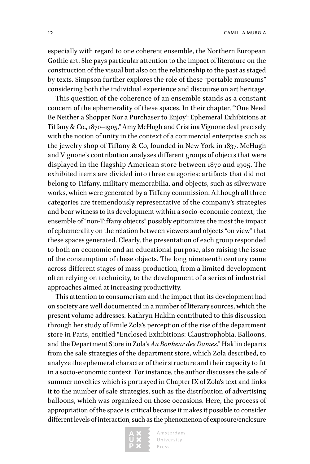especially with regard to one coherent ensemble, the Northern European Gothic art. She pays particular attention to the impact of literature on the construction of the visual but also on the relationship to the past as staged by texts. Simpson further explores the role of these "portable museums" considering both the individual experience and discourse on art heritage.

This question of the coherence of an ensemble stands as a constant concern of the ephemerality of these spaces. In their chapter, "'One Need Be Neither a Shopper Nor a Purchaser to Enjoy': Ephemeral Exhibitions at Tiffany & Co., 1870–1905," Amy McHugh and Cristina Vignone deal precisely with the notion of unity in the context of a commercial enterprise such as the jewelry shop of Tiffany & Co, founded in New York in 1837. McHugh and Vignone's contribution analyzes different groups of objects that were displayed in the flagship American store between 1870 and 1905. The exhibited items are divided into three categories: artifacts that did not belong to Tiffany, military memorabilia, and objects, such as silverware works, which were generated by a Tiffany commission. Although all three categories are tremendously representative of the company's strategies and bear witness to its development within a socio-economic context, the ensemble of "non-Tiffany objects" possibly epitomizes the most the impact of ephemerality on the relation between viewers and objects "on view" that these spaces generated. Clearly, the presentation of each group responded to both an economic and an educational purpose, also raising the issue of the consumption of these objects. The long nineteenth century came across different stages of mass-production, from a limited development often relying on technicity, to the development of a series of industrial approaches aimed at increasing productivity.

This attention to consumerism and the impact that its development had on society are well documented in a number of literary sources, which the present volume addresses. Kathryn Haklin contributed to this discussion through her study of Emile Zola's perception of the rise of the department store in Paris, entitled "Enclosed Exhibitions: Claustrophobia, Balloons, and the Department Store in Zola's *Au Bonheur des Dames*." Haklin departs from the sale strategies of the department store, which Zola described, to analyze the ephemeral character of their structure and their capacity to fit in a socio-economic context. For instance, the author discusses the sale of summer novelties which is portrayed in Chapter IX of Zola's text and links it to the number of sale strategies, such as the distribution of advertising balloons, which was organized on those occasions. Here, the process of appropriation of the space is critical because it makes it possible to consider different levels of interaction, such as the phenomenon of exposure/enclosure

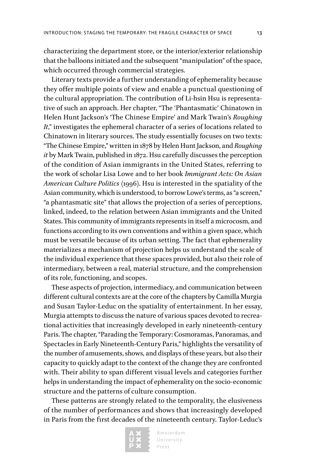characterizing the department store, or the interior/exterior relationship that the balloons initiated and the subsequent "manipulation" of the space, which occurred through commercial strategies.

Literary texts provide a further understanding of ephemerality because they offer multiple points of view and enable a punctual questioning of the cultural appropriation. The contribution of Li-hsin Hsu is representative of such an approach. Her chapter, "The 'Phantasmatic' Chinatown in Helen Hunt Jackson's 'The Chinese Empire' and Mark Twain's *Roughing It*," investigates the ephemeral character of a series of locations related to Chinatown in literary sources. The study essentially focuses on two texts: "The Chinese Empire," written in 1878 by Helen Hunt Jackson, and *Roughing it* by Mark Twain, published in 1872. Hsu carefully discusses the perception of the condition of Asian immigrants in the United States, referring to the work of scholar Lisa Lowe and to her book *Immigrant Acts: On Asian American Culture Politics* (1996). Hsu is interested in the spatiality of the Asian community, which is understood, to borrow Lowe's terms, as "a screen," "a phantasmatic site" that allows the projection of a series of perceptions, linked, indeed, to the relation between Asian immigrants and the United States. This community of immigrants represents in itself a microcosm, and functions according to its own conventions and within a given space, which must be versatile because of its urban setting. The fact that ephemerality materializes a mechanism of projection helps us understand the scale of the individual experience that these spaces provided, but also their role of intermediary, between a real, material structure, and the comprehension of its role, functioning, and scopes.

These aspects of projection, intermediacy, and communication between different cultural contexts are at the core of the chapters by Camilla Murgia and Susan Taylor-Leduc on the spatiality of entertainment. In her essay, Murgia attempts to discuss the nature of various spaces devoted to recreational activities that increasingly developed in early nineteenth-century Paris. The chapter, "Parading the Temporary: Cosmoramas, Panoramas, and Spectacles in Early Nineteenth-Century Paris," highlights the versatility of the number of amusements, shows, and displays of these years, but also their capacity to quickly adapt to the context of the change they are confronted with. Their ability to span different visual levels and categories further helps in understanding the impact of ephemerality on the socio-economic structure and the patterns of culture consumption.

These patterns are strongly related to the temporality, the elusiveness of the number of performances and shows that increasingly developed in Paris from the first decades of the nineteenth century. Taylor-Leduc's

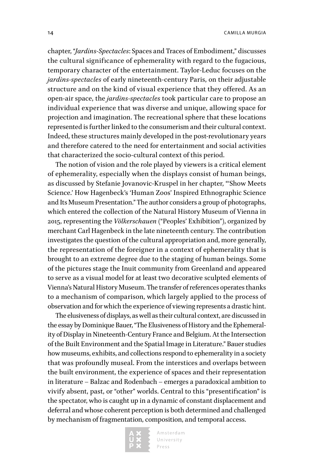chapter, "*Jardins-Spectacles*: Spaces and Traces of Embodiment," discusses the cultural significance of ephemerality with regard to the fugacious, temporary character of the entertainment. Taylor-Leduc focuses on the *jardins-spectacles* of early nineteenth-century Paris, on their adjustable structure and on the kind of visual experience that they offered. As an open-air space, the *jardins-spectacles* took particular care to propose an individual experience that was diverse and unique, allowing space for projection and imagination. The recreational sphere that these locations represented is further linked to the consumerism and their cultural context. Indeed, these structures mainly developed in the post-revolutionary years and therefore catered to the need for entertainment and social activities that characterized the socio-cultural context of this period.

The notion of vision and the role played by viewers is a critical element of ephemerality, especially when the displays consist of human beings, as discussed by Stefanie Jovanovic-Kruspel in her chapter, "'Show Meets Science.' How Hagenbeck's 'Human Zoos' Inspired Ethnographic Science and Its Museum Presentation." The author considers a group of photographs, which entered the collection of the Natural History Museum of Vienna in 2015, representing the *Völkerschauen* ("Peoples' Exhibition"), organized by merchant Carl Hagenbeck in the late nineteenth century. The contribution investigates the question of the cultural appropriation and, more generally, the representation of the foreigner in a context of ephemerality that is brought to an extreme degree due to the staging of human beings. Some of the pictures stage the Inuit community from Greenland and appeared to serve as a visual model for at least two decorative sculpted elements of Vienna's Natural History Museum. The transfer of references operates thanks to a mechanism of comparison, which largely applied to the process of observation and for which the experience of viewing represents a drastic hint.

The elusiveness of displays, as well as their cultural context, are discussed in the essay by Dominique Bauer, "The Elusiveness of History and the Ephemerality of Display in Nineteenth-Century France and Belgium. At the Intersection of the Built Environment and the Spatial Image in Literature." Bauer studies how museums, exhibits, and collections respond to ephemerality in a society that was profoundly museal. From the interstices and overlaps between the built environment, the experience of spaces and their representation in literature – Balzac and Rodenbach – emerges a paradoxical ambition to vivify absent, past, or "other" worlds. Central to this "presentification" is the spectator, who is caught up in a dynamic of constant displacement and deferral and whose coherent perception is both determined and challenged by mechanism of fragmentation, composition, and temporal access.

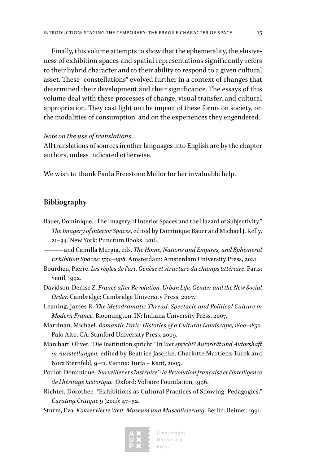Finally, this volume attempts to show that the ephemerality, the elusiveness of exhibition spaces and spatial representations significantly refers to their hybrid character and to their ability to respond to a given cultural asset. These "constellations" evolved further in a context of changes that determined their development and their significance. The essays of this volume deal with these processes of change, visual transfer, and cultural appropriation. They cast light on the impact of these forms on society, on the modalities of consumption, and on the experiences they engendered.

#### *Note on the use of translations*

All translations of sources in other languages into English are by the chapter authors, unless indicated otherwise.

We wish to thank Paula Freestone Mellor for her invaluable help.

#### **Bibliography**

Bauer, Dominique. "The Imagery of Interior Spaces and the Hazard of Subjectivity." *The Imagery of interior Spaces*, edited by Dominique Bauer and Michael J. Kelly, 21–34. New York: Punctum Books, 2016.

——— and Camilla Murgia, eds. *The Home, Nations and Empires, and Ephemeral Exhibition Spaces: 1750–1918*. Amsterdam: Amsterdam University Press, 2021.

- Bourdieu, Pierre. *Les règles de l'art. Genèse et structure du champs littéraire*. Paris: Seuil, 1992.
- Davidson, Denise Z. *France after Revolution. Urban Life, Gender and the New Social Order.* Cambridge: Cambridge University Press, 2007.
- Leaning, James R. *The Melodramatic Thread: Spectacle and Political Culture in Modern France.* Bloomington, IN: Indiana University Press, 2007.
- Marrinan, Michael. *Romantic Paris: Histories of a Cultural Landscape, 1800–1850.* Palo Alto, CA: Stanford University Press, 2009.
- Marchart, Oliver. "Die Institution spricht." In *Wer spricht? Autorität und Autorshaft in Ausstellungen,* edited by Beatrice Jaschke, Charlotte Martienz-Turek and Nora Sternfeld, 9–11. Vienna: Turia + Kant, 2005.
- Poulot, Dominique. *'Surveiller et s'instruire' : la Révolution française et l'intelligence de l'héritage historique.* Oxford: Voltaire Foundation, 1996.
- Richter, Dorothee. "Exhibitions as Cultural Practices of Showing: Pedagogics." *Curating Critique* 9 (2011): 47–52.
- Sturm, Eva. *Konservierte Welt. Museum und Musealisierung*. Berlin: Reimer, 1991.



Amsterdam University